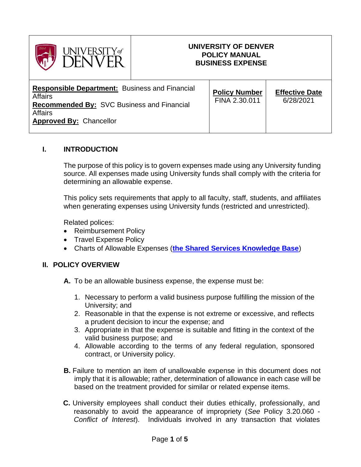

## **UNIVERSITY OF DENVER POLICY MANUAL BUSINESS EXPENSE**

| <b>Responsible Department:</b> Business and Financial<br><b>Affairs</b><br><b>Recommended By: SVC Business and Financial</b><br>Affairs<br><b>Approved By: Chancellor</b> | <b>Policy Number</b><br>FINA 2.30.011 | <b>Effective Date</b><br>6/28/2021 |
|---------------------------------------------------------------------------------------------------------------------------------------------------------------------------|---------------------------------------|------------------------------------|
|---------------------------------------------------------------------------------------------------------------------------------------------------------------------------|---------------------------------------|------------------------------------|

# **I. INTRODUCTION**

The purpose of this policy is to govern expenses made using any University funding source. All expenses made using University funds shall comply with the criteria for determining an allowable expense.

This policy sets requirements that apply to all faculty, staff, students, and affiliates when generating expenses using University funds (restricted and unrestricted).

Related polices:

- Reimbursement Policy
- Travel Expense Policy
- Charts of Allowable Expenses (**[the Shared Services Knowledge Base](https://dusharedservicescenter.freshdesk.com/support/solutions/30000035270)**)

#### **II. POLICY OVERVIEW**

- **A.** To be an allowable business expense, the expense must be:
	- 1. Necessary to perform a valid business purpose fulfilling the mission of the University; and
	- 2. Reasonable in that the expense is not extreme or excessive, and reflects a prudent decision to incur the expense; and
	- 3. Appropriate in that the expense is suitable and fitting in the context of the valid business purpose; and
	- 4. Allowable according to the terms of any federal regulation, sponsored contract, or University policy.
- **B.** Failure to mention an item of unallowable expense in this document does not imply that it is allowable; rather, determination of allowance in each case will be based on the treatment provided for similar or related expense items.
- **C.** University employees shall conduct their duties ethically, professionally, and reasonably to avoid the appearance of impropriety (*See* Policy 3.20.060 - *Conflict of Interest*). Individuals involved in any transaction that violates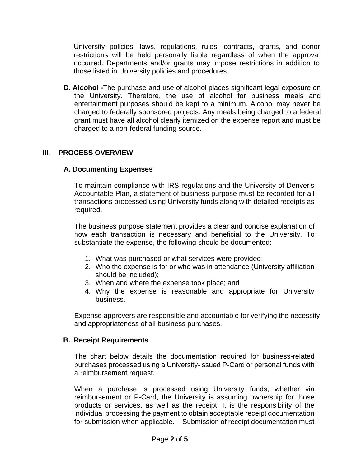University policies, laws, regulations, rules, contracts, grants, and donor restrictions will be held personally liable regardless of when the approval occurred. Departments and/or grants may impose restrictions in addition to those listed in University policies and procedures.

**D. Alcohol -**The purchase and use of alcohol places significant legal exposure on the University. Therefore, the use of alcohol for business meals and entertainment purposes should be kept to a minimum. Alcohol may never be charged to federally sponsored projects. Any meals being charged to a federal grant must have all alcohol clearly itemized on the expense report and must be charged to a non-federal funding source.

# **III. PROCESS OVERVIEW**

## **A. Documenting Expenses**

To maintain compliance with IRS regulations and the University of Denver's Accountable Plan, a statement of business purpose must be recorded for all transactions processed using University funds along with detailed receipts as required.

The business purpose statement provides a clear and concise explanation of how each transaction is necessary and beneficial to the University. To substantiate the expense, the following should be documented:

- 1. What was purchased or what services were provided;
- 2. Who the expense is for or who was in attendance (University affiliation should be included);
- 3. When and where the expense took place; and
- 4. Why the expense is reasonable and appropriate for University business.

Expense approvers are responsible and accountable for verifying the necessity and appropriateness of all business purchases.

#### **B. Receipt Requirements**

The chart below details the documentation required for business-related purchases processed using a University-issued P-Card or personal funds with a reimbursement request.

When a purchase is processed using University funds, whether via reimbursement or P-Card, the University is assuming ownership for those products or services, as well as the receipt. It is the responsibility of the individual processing the payment to obtain acceptable receipt documentation for submission when applicable. Submission of receipt documentation must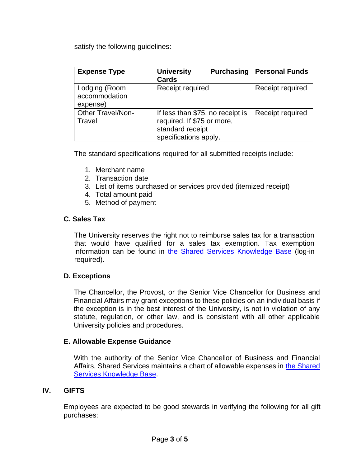satisfy the following guidelines:

| <b>Expense Type</b>                        | <b>University</b><br><b>Purchasing</b><br><b>Cards</b>                                                      | <b>Personal Funds</b> |
|--------------------------------------------|-------------------------------------------------------------------------------------------------------------|-----------------------|
| Lodging (Room<br>accommodation<br>expense) | Receipt required                                                                                            | Receipt required      |
| <b>Other Travel/Non-</b><br>Travel         | If less than \$75, no receipt is<br>required. If \$75 or more,<br>standard receipt<br>specifications apply. | Receipt required      |

The standard specifications required for all submitted receipts include:

- 1. Merchant name
- 2. Transaction date
- 3. List of items purchased or services provided (itemized receipt)
- 4. Total amount paid
- 5. Method of payment

## **C. Sales Tax**

The University reserves the right not to reimburse sales tax for a transaction that would have qualified for a sales tax exemption. Tax exemption information can be found in [the Shared Services Knowledge Base](https://dusharedservicescenter.freshdesk.com/support/solutions/articles/30000033769-tax-exemption-documents) (log-in required).

#### **D. Exceptions**

The Chancellor, the Provost, or the Senior Vice Chancellor for Business and Financial Affairs may grant exceptions to these policies on an individual basis if the exception is in the best interest of the University, is not in violation of any statute, regulation, or other law, and is consistent with all other applicable University policies and procedures.

#### **E. Allowable Expense Guidance**

With the authority of the Senior Vice Chancellor of Business and Financial Affairs, Shared Services maintains a chart of allowable expenses in [the Shared](https://dusharedservicescenter.freshdesk.com/support/solutions/30000035270)  [Services Knowledge Base.](https://dusharedservicescenter.freshdesk.com/support/solutions/30000035270)

## **IV. GIFTS**

Employees are expected to be good stewards in verifying the following for all gift purchases: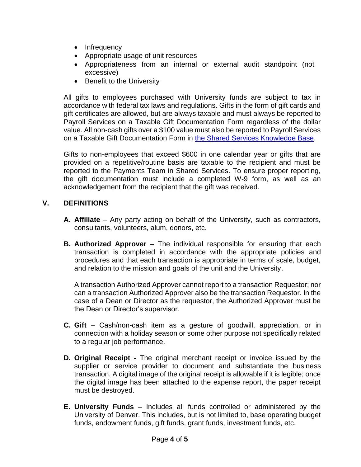- Infrequency
- Appropriate usage of unit resources
- Appropriateness from an internal or external audit standpoint (not excessive)
- Benefit to the University

All gifts to employees purchased with University funds are subject to tax in accordance with federal tax laws and regulations. Gifts in the form of gift cards and gift certificates are allowed, but are always taxable and must always be reported to Payroll Services on a Taxable Gift Documentation Form regardless of the dollar value. All non-cash gifts over a \$100 value must also be reported to Payroll Services on a Taxable Gift Documentation Form in [the Shared Services Knowledge Base.](https://dusharedservicescenter.freshdesk.com/support/solutions/articles/30000034690-taxable-gift-form)

Gifts to non-employees that exceed \$600 in one calendar year or gifts that are provided on a repetitive/routine basis are taxable to the recipient and must be reported to the Payments Team in Shared Services. To ensure proper reporting, the gift documentation must include a completed W-9 form, as well as an acknowledgement from the recipient that the gift was received.

# **V. DEFINITIONS**

- **A. Affiliate** Any party acting on behalf of the University, such as contractors, consultants, volunteers, alum, donors, etc.
- **B. Authorized Approver** The individual responsible for ensuring that each transaction is completed in accordance with the appropriate policies and procedures and that each transaction is appropriate in terms of scale, budget, and relation to the mission and goals of the unit and the University.

A transaction Authorized Approver cannot report to a transaction Requestor; nor can a transaction Authorized Approver also be the transaction Requestor. In the case of a Dean or Director as the requestor, the Authorized Approver must be the Dean or Director's supervisor.

- **C. Gift**  Cash/non-cash item as a gesture of goodwill, appreciation, or in connection with a holiday season or some other purpose not specifically related to a regular job performance.
- **D. Original Receipt -** The original merchant receipt or invoice issued by the supplier or service provider to document and substantiate the business transaction. A digital image of the original receipt is allowable if it is legible; once the digital image has been attached to the expense report, the paper receipt must be destroyed.
- **E. University Funds** Includes all funds controlled or administered by the University of Denver. This includes, but is not limited to, base operating budget funds, endowment funds, gift funds, grant funds, investment funds, etc.